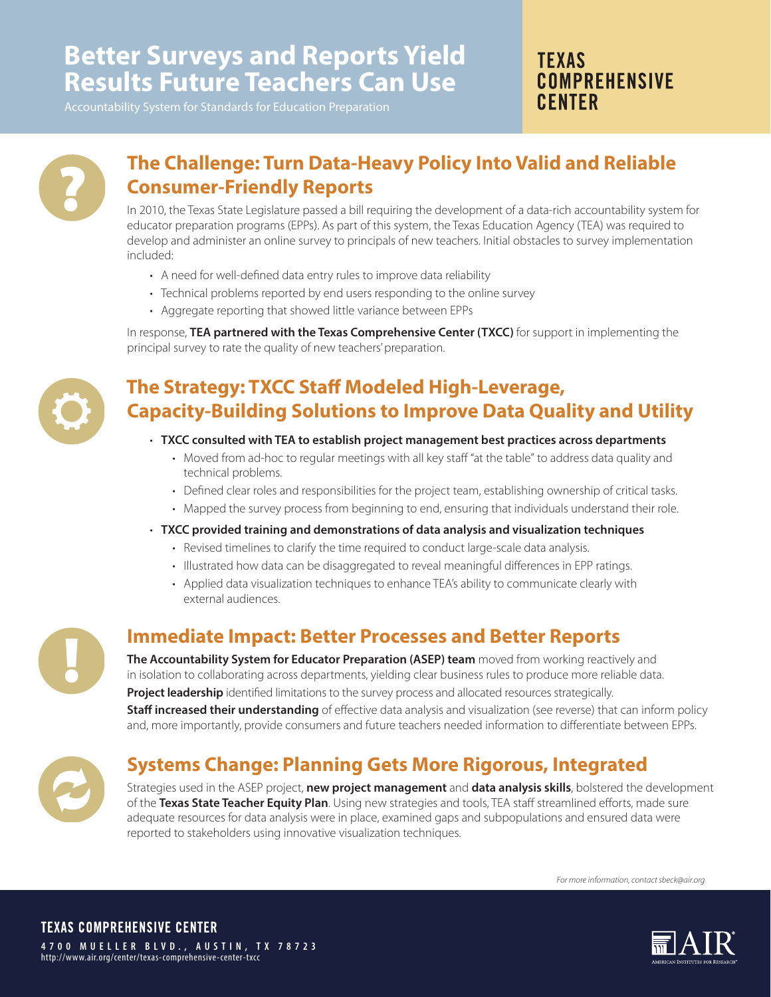# **Better Surveys and Reports Yield Results Future Teachers Can Use**

**TFXAS COMPREHENSIVE CENTER** 



### **The Challenge: Turn Data-Heavy Policy Into Valid and Reliable Consumer-Friendly Reports**

In 2010, the Texas State Legislature passed a bill requiring the development of a data-rich accountability system for educator preparation programs (EPPs). As part of this system, the Texas Education Agency (TEA) was required to develop and administer an online survey to principals of new teachers. Initial obstacles to survey implementation included:

- A need for well-defined data entry rules to improve data reliability
- Technical problems reported by end users responding to the online survey
- Aggregate reporting that showed little variance between EPPs

In response, **TEA partnered with the Texas Comprehensive Center (TXCC)** for support in implementing the principal survey to rate the quality of new teachers' preparation.



!

## **The Strategy: TXCC Staff Modeled High-Leverage, Capacity-Building Solutions to Improve Data Quality and Utility**

- **TXCC consulted with TEA to establish project management best practices across departments** 
	- Moved from ad-hoc to regular meetings with all key staff "at the table" to address data quality and technical problems.
	- Defined clear roles and responsibilities for the project team, establishing ownership of critical tasks.
	- Mapped the survey process from beginning to end, ensuring that individuals understand their role.
- **TXCC provided training and demonstrations of data analysis and visualization techniques** 
	- Revised timelines to clarify the time required to conduct large-scale data analysis.
	- Illustrated how data can be disaggregated to reveal meaningful differences in EPP ratings.
	- Applied data visualization techniques to enhance TEA's ability to communicate clearly with external audiences.

#### **Immediate Impact: Better Processes and Better Reports**

**The Accountability System for Educator Preparation (ASEP) team** moved from working reactively and in isolation to collaborating across departments, yielding clear business rules to produce more reliable data. **Project leadership** identified limitations to the survey process and allocated resources strategically. **Staff increased their understanding** of effective data analysis and visualization (see reverse) that can inform policy and, more importantly, provide consumers and future teachers needed information to differentiate between EPPs.

## **Systems Change: Planning Gets More Rigorous, Integrated**

Strategies used in the ASEP project, **new project management** and **data analysis skills**, bolstered the development of the **Texas State Teacher Equity Plan**. Using new strategies and tools, TEA staff streamlined efforts, made sure adequate resources for data analysis were in place, examined gaps and subpopulations and ensured data were reported to stakeholders using innovative visualization techniques.

*For more information, contact sbeck@air.org*